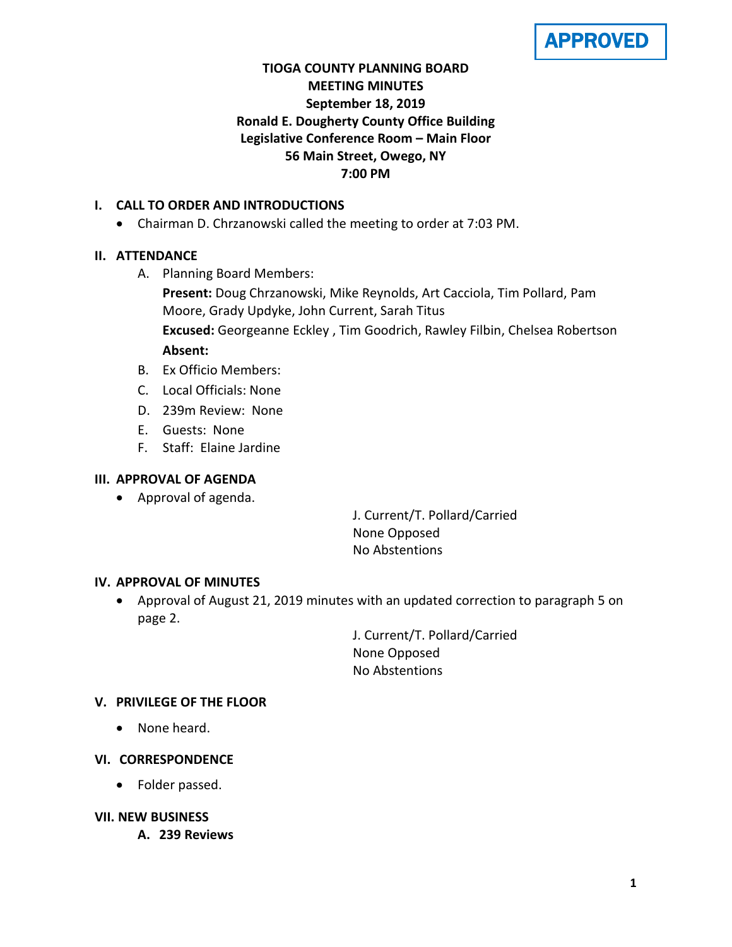APPROVED

# **TIOGA COUNTY PLANNING BOARD MEETING MINUTES September 18, 2019 Ronald E. Dougherty County Office Building Legislative Conference Room – Main Floor 56 Main Street, Owego, NY 7:00 PM**

# **I. CALL TO ORDER AND INTRODUCTIONS**

• Chairman D. Chrzanowski called the meeting to order at 7:03 PM.

# **II. ATTENDANCE**

A. Planning Board Members:

**Present:** Doug Chrzanowski, Mike Reynolds, Art Cacciola, Tim Pollard, Pam Moore, Grady Updyke, John Current, Sarah Titus **Excused:** Georgeanne Eckley , Tim Goodrich, Rawley Filbin, Chelsea Robertson **Absent:**

- B. Ex Officio Members:
- C. Local Officials: None
- D. 239m Review: None
- E. Guests: None
- F. Staff: Elaine Jardine

# **III. APPROVAL OF AGENDA**

• Approval of agenda.

J. Current/T. Pollard/Carried None Opposed No Abstentions

### **IV. APPROVAL OF MINUTES**

• Approval of August 21, 2019 minutes with an updated correction to paragraph 5 on page 2.

> J. Current/T. Pollard/Carried None Opposed No Abstentions

### **V. PRIVILEGE OF THE FLOOR**

• None heard.

### **VI. CORRESPONDENCE**

- Folder passed.
- **VII. NEW BUSINESS**
	- **A. 239 Reviews**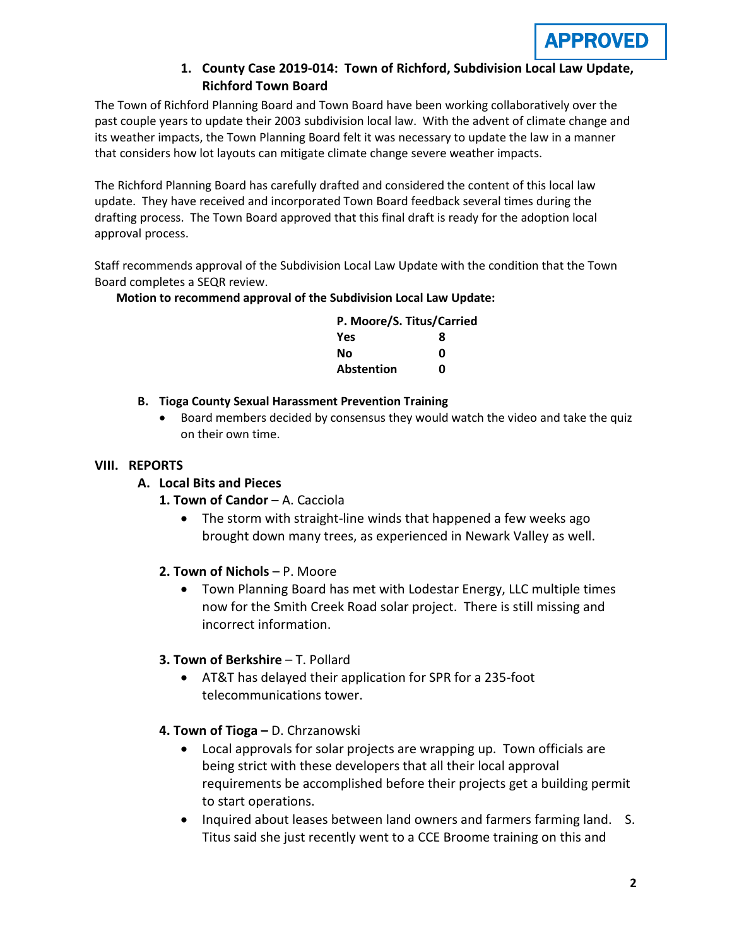

# **1. County Case 2019-014: Town of Richford, Subdivision Local Law Update, Richford Town Board**

The Town of Richford Planning Board and Town Board have been working collaboratively over the past couple years to update their 2003 subdivision local law. With the advent of climate change and its weather impacts, the Town Planning Board felt it was necessary to update the law in a manner that considers how lot layouts can mitigate climate change severe weather impacts.

The Richford Planning Board has carefully drafted and considered the content of this local law update. They have received and incorporated Town Board feedback several times during the drafting process. The Town Board approved that this final draft is ready for the adoption local approval process.

Staff recommends approval of the Subdivision Local Law Update with the condition that the Town Board completes a SEQR review.

#### **Motion to recommend approval of the Subdivision Local Law Update:**

| P. Moore/S. Titus/Carried |   |
|---------------------------|---|
| <b>Yes</b>                | 8 |
| No                        | n |
| <b>Abstention</b>         | n |

### **B. Tioga County Sexual Harassment Prevention Training**

• Board members decided by consensus they would watch the video and take the quiz on their own time.

#### **VIII. REPORTS**

### **A. Local Bits and Pieces**

- 1. Town of Candor A. Cacciola
	- The storm with straight-line winds that happened a few weeks ago brought down many trees, as experienced in Newark Valley as well.

### **2. Town of Nichols** – P. Moore

• Town Planning Board has met with Lodestar Energy, LLC multiple times now for the Smith Creek Road solar project. There is still missing and incorrect information.

### **3. Town of Berkshire** – T. Pollard

• AT&T has delayed their application for SPR for a 235-foot telecommunications tower.

### **4. Town of Tioga –** D. Chrzanowski

- Local approvals for solar projects are wrapping up. Town officials are being strict with these developers that all their local approval requirements be accomplished before their projects get a building permit to start operations.
- Inquired about leases between land owners and farmers farming land. S. Titus said she just recently went to a CCE Broome training on this and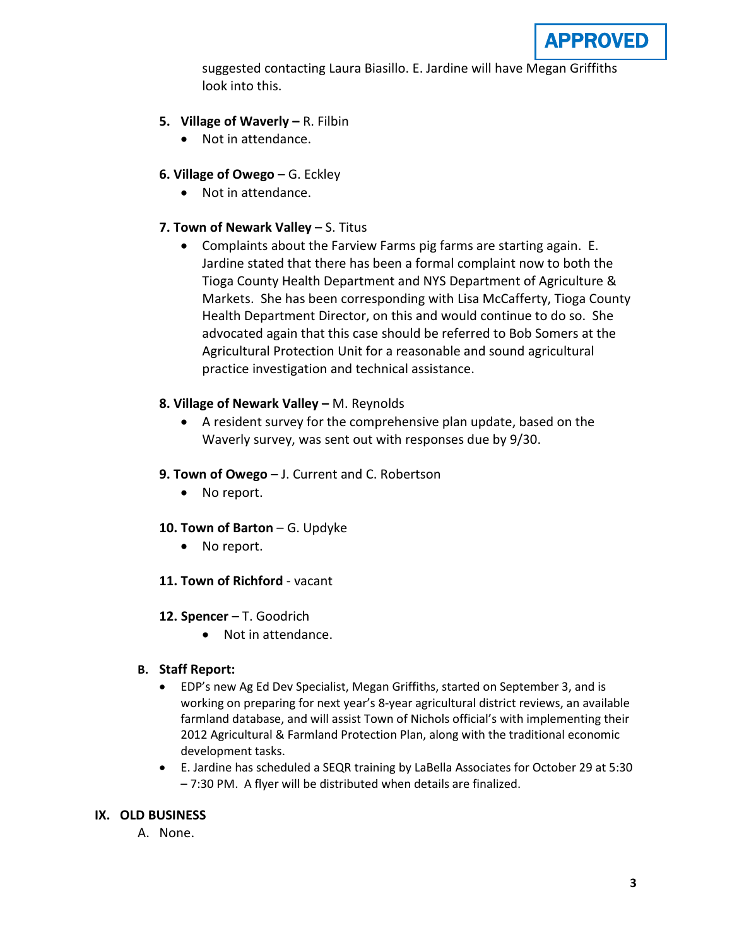

suggested contacting Laura Biasillo. E. Jardine will have Megan Griffiths look into this.

- **5. Village of Waverly –** R. Filbin
	- Not in attendance.
- **6. Village of Owego** G. Eckley
	- Not in attendance.
- **7. Town of Newark Valley** S. Titus
	- Complaints about the Farview Farms pig farms are starting again. E. Jardine stated that there has been a formal complaint now to both the Tioga County Health Department and NYS Department of Agriculture & Markets. She has been corresponding with Lisa McCafferty, Tioga County Health Department Director, on this and would continue to do so. She advocated again that this case should be referred to Bob Somers at the Agricultural Protection Unit for a reasonable and sound agricultural practice investigation and technical assistance.
- **8. Village of Newark Valley –** M. Reynolds
	- A resident survey for the comprehensive plan update, based on the Waverly survey, was sent out with responses due by 9/30.
- **9. Town of Owego** J. Current and C. Robertson
	- No report.
- **10. Town of Barton** G. Updyke
	- No report.
- **11. Town of Richford** vacant
- **12. Spencer** T. Goodrich
	- Not in attendance.

### **B. Staff Report:**

- EDP's new Ag Ed Dev Specialist, Megan Griffiths, started on September 3, and is working on preparing for next year's 8-year agricultural district reviews, an available farmland database, and will assist Town of Nichols official's with implementing their 2012 Agricultural & Farmland Protection Plan, along with the traditional economic development tasks.
- E. Jardine has scheduled a SEQR training by LaBella Associates for October 29 at 5:30 – 7:30 PM. A flyer will be distributed when details are finalized.

### **IX. OLD BUSINESS**

A. None.